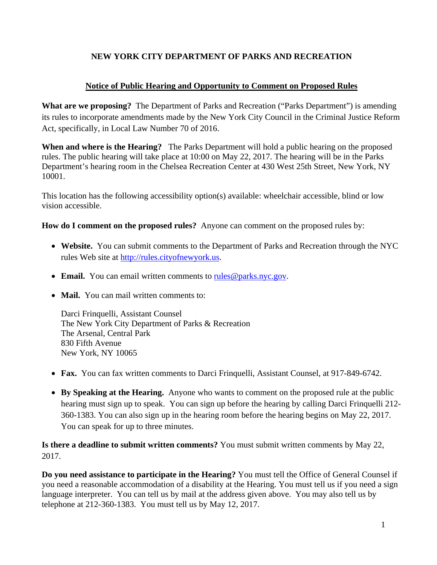# **NEW YORK CITY DEPARTMENT OF PARKS AND RECREATION**

# **Notice of Public Hearing and Opportunity to Comment on Proposed Rules**

**What are we proposing?** The Department of Parks and Recreation ("Parks Department") is amending its rules to incorporate amendments made by the New York City Council in the Criminal Justice Reform Act, specifically, in Local Law Number 70 of 2016.

**When and where is the Hearing?** The Parks Department will hold a public hearing on the proposed rules. The public hearing will take place at 10:00 on May 22, 2017. The hearing will be in the Parks Department's hearing room in the Chelsea Recreation Center at 430 West 25th Street, New York, NY 10001.

This location has the following accessibility option(s) available: wheelchair accessible, blind or low vision accessible.

**How do I comment on the proposed rules?** Anyone can comment on the proposed rules by:

- **Website.** You can submit comments to the Department of Parks and Recreation through the NYC rules Web site at http://rules.cityofnewyork.us.
- Email. You can email written comments to rules @parks.nyc.gov.
- **Mail.** You can mail written comments to:

Darci Frinquelli, Assistant Counsel The New York City Department of Parks & Recreation The Arsenal, Central Park 830 Fifth Avenue New York, NY 10065

- **Fax.** You can fax written comments to Darci Frinquelli, Assistant Counsel, at 917-849-6742.
- **By Speaking at the Hearing.** Anyone who wants to comment on the proposed rule at the public hearing must sign up to speak. You can sign up before the hearing by calling Darci Frinquelli 212- 360-1383. You can also sign up in the hearing room before the hearing begins on May 22, 2017. You can speak for up to three minutes.

**Is there a deadline to submit written comments?** You must submit written comments by May 22, 2017.

**Do you need assistance to participate in the Hearing?** You must tell the Office of General Counsel if you need a reasonable accommodation of a disability at the Hearing. You must tell us if you need a sign language interpreter. You can tell us by mail at the address given above. You may also tell us by telephone at 212-360-1383. You must tell us by May 12, 2017.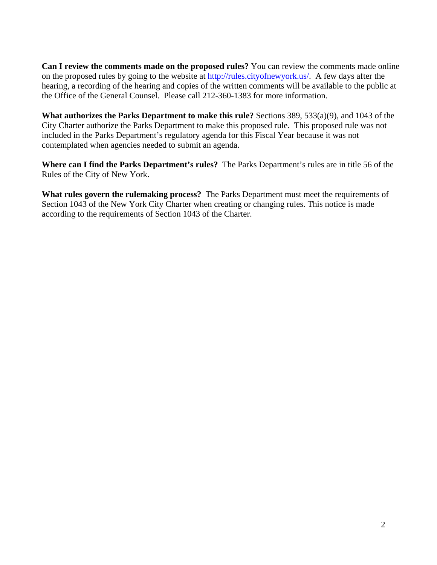**Can I review the comments made on the proposed rules?** You can review the comments made online on the proposed rules by going to the website at http://rules.cityofnewyork.us/. A few days after the hearing, a recording of the hearing and copies of the written comments will be available to the public at the Office of the General Counsel. Please call 212-360-1383 for more information.

**What authorizes the Parks Department to make this rule?** Sections 389, 533(a)(9), and 1043 of the City Charter authorize the Parks Department to make this proposed rule. This proposed rule was not included in the Parks Department's regulatory agenda for this Fiscal Year because it was not contemplated when agencies needed to submit an agenda.

**Where can I find the Parks Department's rules?** The Parks Department's rules are in title 56 of the Rules of the City of New York.

**What rules govern the rulemaking process?** The Parks Department must meet the requirements of Section 1043 of the New York City Charter when creating or changing rules. This notice is made according to the requirements of Section 1043 of the Charter.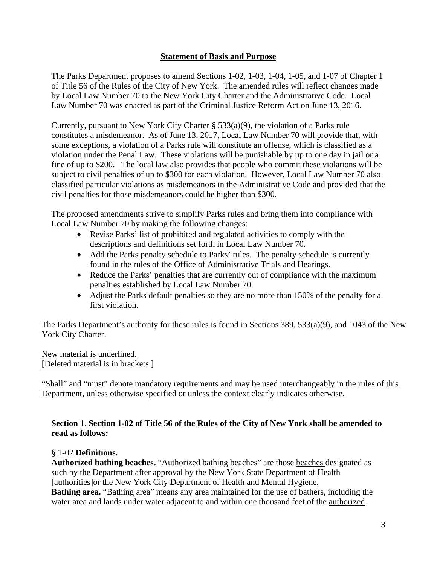### **Statement of Basis and Purpose**

The Parks Department proposes to amend Sections 1-02, 1-03, 1-04, 1-05, and 1-07 of Chapter 1 of Title 56 of the Rules of the City of New York. The amended rules will reflect changes made by Local Law Number 70 to the New York City Charter and the Administrative Code. Local Law Number 70 was enacted as part of the Criminal Justice Reform Act on June 13, 2016.

Currently, pursuant to New York City Charter § 533(a)(9), the violation of a Parks rule constitutes a misdemeanor. As of June 13, 2017, Local Law Number 70 will provide that, with some exceptions, a violation of a Parks rule will constitute an offense, which is classified as a violation under the Penal Law. These violations will be punishable by up to one day in jail or a fine of up to \$200. The local law also provides that people who commit these violations will be subject to civil penalties of up to \$300 for each violation. However, Local Law Number 70 also classified particular violations as misdemeanors in the Administrative Code and provided that the civil penalties for those misdemeanors could be higher than \$300.

The proposed amendments strive to simplify Parks rules and bring them into compliance with Local Law Number 70 by making the following changes:

- Revise Parks' list of prohibited and regulated activities to comply with the descriptions and definitions set forth in Local Law Number 70.
- Add the Parks penalty schedule to Parks' rules. The penalty schedule is currently found in the rules of the Office of Administrative Trials and Hearings.
- Reduce the Parks' penalties that are currently out of compliance with the maximum penalties established by Local Law Number 70.
- Adjust the Parks default penalties so they are no more than 150% of the penalty for a first violation.

The Parks Department's authority for these rules is found in Sections 389, 533(a)(9), and 1043 of the New York City Charter.

New material is underlined. [Deleted material is in brackets.]

"Shall" and "must" denote mandatory requirements and may be used interchangeably in the rules of this Department, unless otherwise specified or unless the context clearly indicates otherwise.

### **Section 1. Section 1-02 of Title 56 of the Rules of the City of New York shall be amended to read as follows:**

### § 1-02 **Definitions.**

**Authorized bathing beaches.** "Authorized bathing beaches" are those beaches designated as such by the Department after approval by the New York State Department of Health [authorities]or the New York City Department of Health and Mental Hygiene.

**Bathing area.** "Bathing area" means any area maintained for the use of bathers, including the water area and lands under water adjacent to and within one thousand feet of the authorized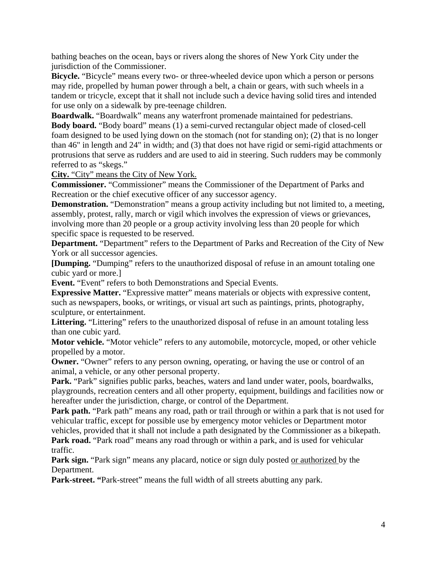bathing beaches on the ocean, bays or rivers along the shores of New York City under the jurisdiction of the Commissioner.

**Bicycle.** "Bicycle" means every two- or three-wheeled device upon which a person or persons may ride, propelled by human power through a belt, a chain or gears, with such wheels in a tandem or tricycle, except that it shall not include such a device having solid tires and intended for use only on a sidewalk by pre-teenage children.

**Boardwalk.** "Boardwalk" means any waterfront promenade maintained for pedestrians. **Body board.** "Body board" means (1) a semi-curved rectangular object made of closed-cell foam designed to be used lying down on the stomach (not for standing on); (2) that is no longer than 46" in length and 24" in width; and (3) that does not have rigid or semi-rigid attachments or protrusions that serve as rudders and are used to aid in steering. Such rudders may be commonly referred to as "skegs."

**City.** "City" means the City of New York.

**Commissioner.** "Commissioner" means the Commissioner of the Department of Parks and Recreation or the chief executive officer of any successor agency.

**Demonstration.** "Demonstration" means a group activity including but not limited to, a meeting, assembly, protest, rally, march or vigil which involves the expression of views or grievances, involving more than 20 people or a group activity involving less than 20 people for which specific space is requested to be reserved.

**Department.** "Department" refers to the Department of Parks and Recreation of the City of New York or all successor agencies.

**[Dumping.** "Dumping" refers to the unauthorized disposal of refuse in an amount totaling one cubic yard or more.]

**Event.** "Event" refers to both Demonstrations and Special Events.

**Expressive Matter.** "Expressive matter" means materials or objects with expressive content, such as newspapers, books, or writings, or visual art such as paintings, prints, photography, sculpture, or entertainment.

Littering. "Littering" refers to the unauthorized disposal of refuse in an amount totaling less than one cubic yard.

**Motor vehicle.** "Motor vehicle" refers to any automobile, motorcycle, moped, or other vehicle propelled by a motor.

**Owner.** "Owner" refers to any person owning, operating, or having the use or control of an animal, a vehicle, or any other personal property.

Park. "Park" signifies public parks, beaches, waters and land under water, pools, boardwalks, playgrounds, recreation centers and all other property, equipment, buildings and facilities now or hereafter under the jurisdiction, charge, or control of the Department.

Park path. "Park path" means any road, path or trail through or within a park that is not used for vehicular traffic, except for possible use by emergency motor vehicles or Department motor vehicles, provided that it shall not include a path designated by the Commissioner as a bikepath.

**Park road.** "Park road" means any road through or within a park, and is used for vehicular traffic.

**Park sign.** "Park sign" means any placard, notice or sign duly posted or authorized by the Department.

**Park-street.** "Park-street" means the full width of all streets abutting any park.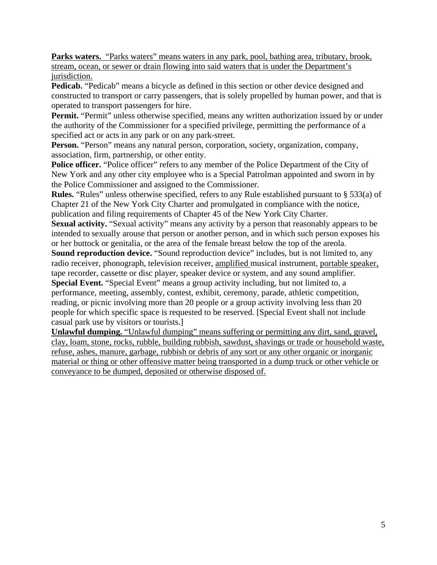**Parks waters.** "Parks waters" means waters in any park, pool, bathing area, tributary, brook, stream, ocean, or sewer or drain flowing into said waters that is under the Department's jurisdiction.

**Pedicab.** "Pedicab" means a bicycle as defined in this section or other device designed and constructed to transport or carry passengers, that is solely propelled by human power, and that is operated to transport passengers for hire.

Permit. "Permit" unless otherwise specified, means any written authorization issued by or under the authority of the Commissioner for a specified privilege, permitting the performance of a specified act or acts in any park or on any park-street.

Person. "Person" means any natural person, corporation, society, organization, company, association, firm, partnership, or other entity.

Police officer. "Police officer" refers to any member of the Police Department of the City of New York and any other city employee who is a Special Patrolman appointed and sworn in by the Police Commissioner and assigned to the Commissioner.

**Rules.** "Rules" unless otherwise specified, refers to any Rule established pursuant to § 533(a) of Chapter 21 of the New York City Charter and promulgated in compliance with the notice, publication and filing requirements of Chapter 45 of the New York City Charter.

**Sexual activity.** "Sexual activity" means any activity by a person that reasonably appears to be intended to sexually arouse that person or another person, and in which such person exposes his or her buttock or genitalia, or the area of the female breast below the top of the areola.

**Sound reproduction device.** "Sound reproduction device" includes, but is not limited to, any radio receiver, phonograph, television receiver, amplified musical instrument, portable speaker, tape recorder, cassette or disc player, speaker device or system, and any sound amplifier.

**Special Event.** "Special Event" means a group activity including, but not limited to, a performance, meeting, assembly, contest, exhibit, ceremony, parade, athletic competition, reading, or picnic involving more than 20 people or a group activity involving less than 20 people for which specific space is requested to be reserved. [Special Event shall not include casual park use by visitors or tourists.]

**Unlawful dumping.** "Unlawful dumping" means suffering or permitting any dirt, sand, gravel, clay, loam, stone, rocks, rubble, building rubbish, sawdust, shavings or trade or household waste, refuse, ashes, manure, garbage, rubbish or debris of any sort or any other organic or inorganic material or thing or other offensive matter being transported in a dump truck or other vehicle or conveyance to be dumped, deposited or otherwise disposed of.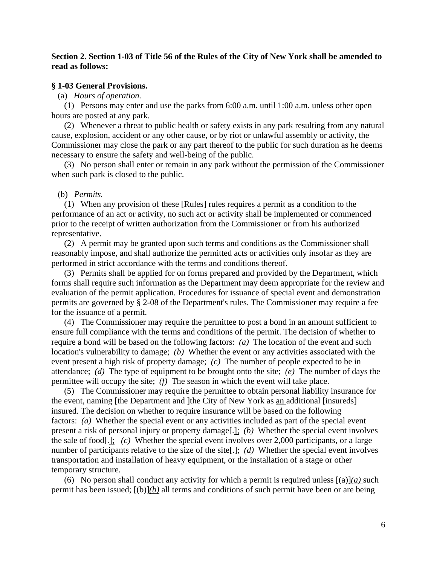#### **Section 2. Section 1-03 of Title 56 of the Rules of the City of New York shall be amended to read as follows:**

#### **§ 1-03 General Provisions.**

(a) *Hours of operation.*

 (1) Persons may enter and use the parks from 6:00 a.m. until 1:00 a.m. unless other open hours are posted at any park.

 (2) Whenever a threat to public health or safety exists in any park resulting from any natural cause, explosion, accident or any other cause, or by riot or unlawful assembly or activity, the Commissioner may close the park or any part thereof to the public for such duration as he deems necessary to ensure the safety and well-being of the public.

 (3) No person shall enter or remain in any park without the permission of the Commissioner when such park is closed to the public.

#### (b) *Permits.*

 (1) When any provision of these [Rules] rules requires a permit as a condition to the performance of an act or activity, no such act or activity shall be implemented or commenced prior to the receipt of written authorization from the Commissioner or from his authorized representative.

 (2) A permit may be granted upon such terms and conditions as the Commissioner shall reasonably impose, and shall authorize the permitted acts or activities only insofar as they are performed in strict accordance with the terms and conditions thereof.

 (3) Permits shall be applied for on forms prepared and provided by the Department, which forms shall require such information as the Department may deem appropriate for the review and evaluation of the permit application. Procedures for issuance of special event and demonstration permits are governed by § 2-08 of the Department's rules. The Commissioner may require a fee for the issuance of a permit.

 (4) The Commissioner may require the permittee to post a bond in an amount sufficient to ensure full compliance with the terms and conditions of the permit. The decision of whether to require a bond will be based on the following factors: *(a)* The location of the event and such location's vulnerability to damage; *(b)* Whether the event or any activities associated with the event present a high risk of property damage; *(c)* The number of people expected to be in attendance; *(d)* The type of equipment to be brought onto the site; *(e)* The number of days the permittee will occupy the site; *(f)* The season in which the event will take place.

 (5) The Commissioner may require the permittee to obtain personal liability insurance for the event, naming [the Department and ]the City of New York as an additional [insureds] insured. The decision on whether to require insurance will be based on the following factors: *(a)* Whether the special event or any activities included as part of the special event present a risk of personal injury or property damage[.]; *(b)* Whether the special event involves the sale of food[.]; *(c)* Whether the special event involves over 2,000 participants, or a large number of participants relative to the size of the site[.]; *(d)* Whether the special event involves transportation and installation of heavy equipment, or the installation of a stage or other temporary structure.

(6) No person shall conduct any activity for which a permit is required unless  $[(a)](a)$  such permit has been issued; [(b)]*(b)* all terms and conditions of such permit have been or are being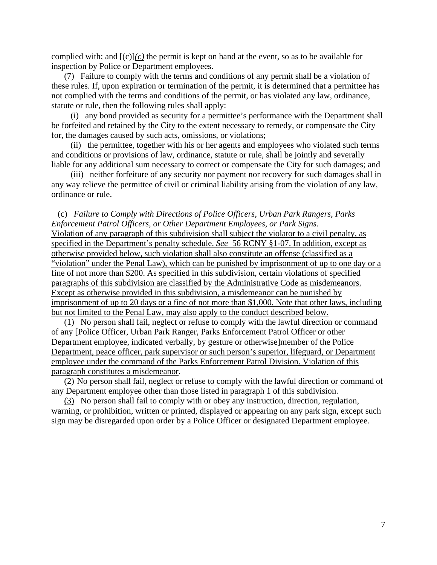complied with; and  $[(c)](c)$  the permit is kept on hand at the event, so as to be available for inspection by Police or Department employees.

 (7) Failure to comply with the terms and conditions of any permit shall be a violation of these rules. If, upon expiration or termination of the permit, it is determined that a permittee has not complied with the terms and conditions of the permit, or has violated any law, ordinance, statute or rule, then the following rules shall apply:

 (i) any bond provided as security for a permittee's performance with the Department shall be forfeited and retained by the City to the extent necessary to remedy, or compensate the City for, the damages caused by such acts, omissions, or violations;

 (ii) the permittee, together with his or her agents and employees who violated such terms and conditions or provisions of law, ordinance, statute or rule, shall be jointly and severally liable for any additional sum necessary to correct or compensate the City for such damages; and

 (iii) neither forfeiture of any security nor payment nor recovery for such damages shall in any way relieve the permittee of civil or criminal liability arising from the violation of any law, ordinance or rule.

#### (c) *Failure to Comply with Directions of Police Officers, Urban Park Rangers, Parks Enforcement Patrol Officers, or Other Department Employees, or Park Signs.*

Violation of any paragraph of this subdivision shall subject the violator to a civil penalty, as specified in the Department's penalty schedule. *See* 56 RCNY §1-07. In addition, except as otherwise provided below, such violation shall also constitute an offense (classified as a "violation" under the Penal Law), which can be punished by imprisonment of up to one day or a fine of not more than \$200. As specified in this subdivision, certain violations of specified paragraphs of this subdivision are classified by the Administrative Code as misdemeanors. Except as otherwise provided in this subdivision, a misdemeanor can be punished by imprisonment of up to 20 days or a fine of not more than \$1,000. Note that other laws, including but not limited to the Penal Law, may also apply to the conduct described below.

 (1) No person shall fail, neglect or refuse to comply with the lawful direction or command of any [Police Officer, Urban Park Ranger, Parks Enforcement Patrol Officer or other Department employee, indicated verbally, by gesture or otherwise]member of the Police Department, peace officer, park supervisor or such person's superior, lifeguard, or Department employee under the command of the Parks Enforcement Patrol Division. Violation of this paragraph constitutes a misdemeanor.

 (2) No person shall fail, neglect or refuse to comply with the lawful direction or command of any Department employee other than those listed in paragraph 1 of this subdivision.

 (3) No person shall fail to comply with or obey any instruction, direction, regulation, warning, or prohibition, written or printed, displayed or appearing on any park sign, except such sign may be disregarded upon order by a Police Officer or designated Department employee.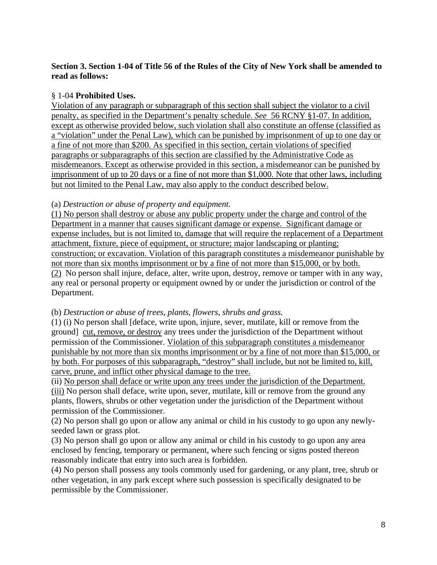### **Section 3. Section 1-04 of Title 56 of the Rules of the City of New York shall be amended to read as follows:**

# § 1-04 **Prohibited Uses.**

Violation of any paragraph or subparagraph of this section shall subject the violator to a civil penalty, as specified in the Department's penalty schedule. *See* 56 RCNY §1-07. In addition, except as otherwise provided below, such violation shall also constitute an offense (classified as a "violation" under the Penal Law), which can be punished by imprisonment of up to one day or a fine of not more than \$200. As specified in this section, certain violations of specified paragraphs or subparagraphs of this section are classified by the Administrative Code as misdemeanors. Except as otherwise provided in this section, a misdemeanor can be punished by imprisonment of up to 20 days or a fine of not more than \$1,000. Note that other laws, including but not limited to the Penal Law, may also apply to the conduct described below.

### (a) *Destruction or abuse of property and equipment.*

(1) No person shall destroy or abuse any public property under the charge and control of the Department in a manner that causes significant damage or expense. Significant damage or expense includes, but is not limited to, damage that will require the replacement of a Department attachment, fixture, piece of equipment, or structure; major landscaping or planting; construction; or excavation. Violation of this paragraph constitutes a misdemeanor punishable by not more than six months imprisonment or by a fine of not more than \$15,000, or by both. (2) No person shall injure, deface, alter, write upon, destroy, remove or tamper with in any way, any real or personal property or equipment owned by or under the jurisdiction or control of the Department.

### (b) *Destruction or abuse of trees, plants, flowers, shrubs and grass.*

(1) (i) No person shall [deface, write upon, injure, sever, mutilate, kill or remove from the ground] cut, remove, or destroy any trees under the jurisdiction of the Department without permission of the Commissioner. Violation of this subparagraph constitutes a misdemeanor punishable by not more than six months imprisonment or by a fine of not more than \$15,000, or by both. For purposes of this subparagraph, "destroy" shall include, but not be limited to, kill, carve, prune, and inflict other physical damage to the tree.

(ii) No person shall deface or write upon any trees under the jurisdiction of the Department. (iii) No person shall deface, write upon, sever, mutilate, kill or remove from the ground any plants, flowers, shrubs or other vegetation under the jurisdiction of the Department without permission of the Commissioner.

(2) No person shall go upon or allow any animal or child in his custody to go upon any newlyseeded lawn or grass plot.

(3) No person shall go upon or allow any animal or child in his custody to go upon any area enclosed by fencing, temporary or permanent, where such fencing or signs posted thereon reasonably indicate that entry into such area is forbidden.

(4) No person shall possess any tools commonly used for gardening, or any plant, tree, shrub or other vegetation, in any park except where such possession is specifically designated to be permissible by the Commissioner.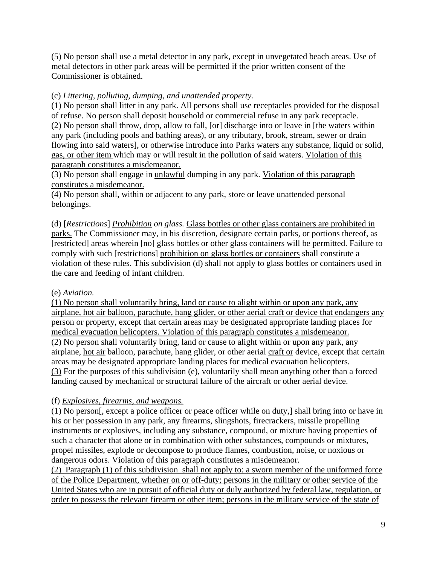(5) No person shall use a metal detector in any park, except in unvegetated beach areas. Use of metal detectors in other park areas will be permitted if the prior written consent of the Commissioner is obtained.

## (c) *Littering, polluting, dumping, and unattended property.*

(1) No person shall litter in any park. All persons shall use receptacles provided for the disposal of refuse. No person shall deposit household or commercial refuse in any park receptacle. (2) No person shall throw, drop, allow to fall, [or] discharge into or leave in [the waters within any park (including pools and bathing areas), or any tributary, brook, stream, sewer or drain flowing into said waters], or otherwise introduce into Parks waters any substance, liquid or solid, gas, or other item which may or will result in the pollution of said waters. Violation of this paragraph constitutes a misdemeanor.

(3) No person shall engage in unlawful dumping in any park. Violation of this paragraph constitutes a misdemeanor.

(4) No person shall, within or adjacent to any park, store or leave unattended personal belongings.

(d) [*Restrictions*] *Prohibition on glass.* Glass bottles or other glass containers are prohibited in parks. The Commissioner may, in his discretion, designate certain parks, or portions thereof, as [restricted] areas wherein [no] glass bottles or other glass containers will be permitted. Failure to comply with such [restrictions] prohibition on glass bottles or containers shall constitute a violation of these rules. This subdivision (d) shall not apply to glass bottles or containers used in the care and feeding of infant children.

### (e) *Aviation.*

(1) No person shall voluntarily bring, land or cause to alight within or upon any park, any airplane, hot air balloon, parachute, hang glider, or other aerial craft or device that endangers any person or property, except that certain areas may be designated appropriate landing places for medical evacuation helicopters. Violation of this paragraph constitutes a misdemeanor. (2) No person shall voluntarily bring, land or cause to alight within or upon any park, any airplane, hot air balloon, parachute, hang glider, or other aerial craft or device, except that certain areas may be designated appropriate landing places for medical evacuation helicopters. (3) For the purposes of this subdivision (e), voluntarily shall mean anything other than a forced landing caused by mechanical or structural failure of the aircraft or other aerial device.

### (f) *Explosives, firearms, and weapons.*

(1) No person[, except a police officer or peace officer while on duty,] shall bring into or have in his or her possession in any park, any firearms, slingshots, firecrackers, missile propelling instruments or explosives, including any substance, compound, or mixture having properties of such a character that alone or in combination with other substances, compounds or mixtures, propel missiles, explode or decompose to produce flames, combustion, noise, or noxious or dangerous odors. Violation of this paragraph constitutes a misdemeanor.

(2) Paragraph (1) of this subdivision shall not apply to: a sworn member of the uniformed force of the Police Department, whether on or off-duty; persons in the military or other service of the United States who are in pursuit of official duty or duly authorized by federal law, regulation, or order to possess the relevant firearm or other item; persons in the military service of the state of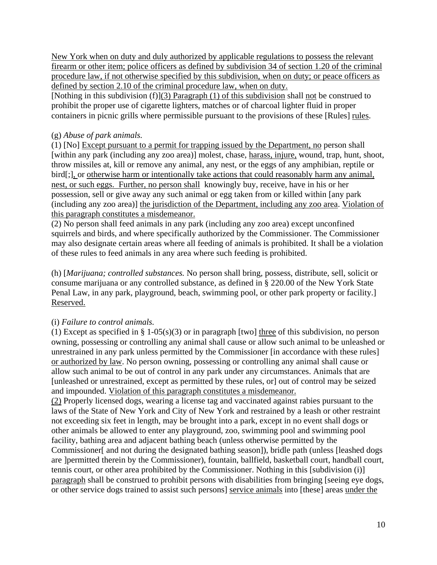New York when on duty and duly authorized by applicable regulations to possess the relevant firearm or other item; police officers as defined by subdivision 34 of section 1.20 of the criminal procedure law, if not otherwise specified by this subdivision, when on duty; or peace officers as defined by section 2.10 of the criminal procedure law, when on duty.

[Nothing in this subdivision (f)](3) Paragraph (1) of this subdivision shall not be construed to prohibit the proper use of cigarette lighters, matches or of charcoal lighter fluid in proper containers in picnic grills where permissible pursuant to the provisions of these [Rules] rules.

### (g) *Abuse of park animals.*

(1) [No] Except pursuant to a permit for trapping issued by the Department, no person shall [within any park (including any zoo area)] molest, chase, harass, injure, wound, trap, hunt, shoot, throw missiles at, kill or remove any animal, any nest, or the eggs of any amphibian, reptile or bird[;], or otherwise harm or intentionally take actions that could reasonably harm any animal, nest, or such eggs. Further, no person shall knowingly buy, receive, have in his or her possession, sell or give away any such animal or egg taken from or killed within [any park (including any zoo area)] the jurisdiction of the Department, including any zoo area. Violation of this paragraph constitutes a misdemeanor.

(2) No person shall feed animals in any park (including any zoo area) except unconfined squirrels and birds, and where specifically authorized by the Commissioner. The Commissioner may also designate certain areas where all feeding of animals is prohibited. It shall be a violation of these rules to feed animals in any area where such feeding is prohibited.

(h) [*Marijuana; controlled substances.* No person shall bring, possess, distribute, sell, solicit or consume marijuana or any controlled substance, as defined in § 220.00 of the New York State Penal Law, in any park, playground, beach, swimming pool, or other park property or facility.] Reserved.

# (i) *Failure to control animals.*

(1) Except as specified in § 1-05(s)(3) or in paragraph [two] three of this subdivision, no person owning, possessing or controlling any animal shall cause or allow such animal to be unleashed or unrestrained in any park unless permitted by the Commissioner [in accordance with these rules] or authorized by law. No person owning, possessing or controlling any animal shall cause or allow such animal to be out of control in any park under any circumstances. Animals that are [unleashed or unrestrained, except as permitted by these rules, or] out of control may be seized and impounded. Violation of this paragraph constitutes a misdemeanor.

(2) Properly licensed dogs, wearing a license tag and vaccinated against rabies pursuant to the laws of the State of New York and City of New York and restrained by a leash or other restraint not exceeding six feet in length, may be brought into a park, except in no event shall dogs or other animals be allowed to enter any playground, zoo, swimming pool and swimming pool facility, bathing area and adjacent bathing beach (unless otherwise permitted by the Commissioner[ and not during the designated bathing season]), bridle path (unless [leashed dogs are ]permitted therein by the Commissioner), fountain, ballfield, basketball court, handball court, tennis court, or other area prohibited by the Commissioner. Nothing in this [subdivision (i)] paragraph shall be construed to prohibit persons with disabilities from bringing [seeing eye dogs, or other service dogs trained to assist such persons] service animals into [these] areas under the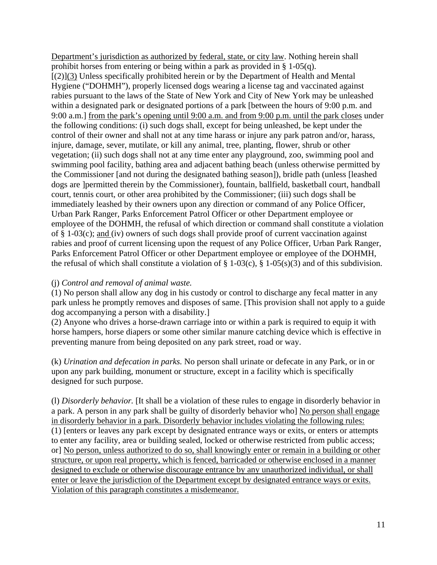Department's jurisdiction as authorized by federal, state, or city law. Nothing herein shall prohibit horses from entering or being within a park as provided in § 1-05(q). [(2)](3) Unless specifically prohibited herein or by the Department of Health and Mental Hygiene ("DOHMH"), properly licensed dogs wearing a license tag and vaccinated against rabies pursuant to the laws of the State of New York and City of New York may be unleashed within a designated park or designated portions of a park [between the hours of 9:00 p.m. and 9:00 a.m.] from the park's opening until 9:00 a.m. and from 9:00 p.m. until the park closes under the following conditions: (i) such dogs shall, except for being unleashed, be kept under the control of their owner and shall not at any time harass or injure any park patron and/or, harass, injure, damage, sever, mutilate, or kill any animal, tree, planting, flower, shrub or other vegetation; (ii) such dogs shall not at any time enter any playground, zoo, swimming pool and swimming pool facility, bathing area and adjacent bathing beach (unless otherwise permitted by the Commissioner [and not during the designated bathing season]), bridle path (unless [leashed dogs are ]permitted therein by the Commissioner), fountain, ballfield, basketball court, handball court, tennis court, or other area prohibited by the Commissioner; (iii) such dogs shall be immediately leashed by their owners upon any direction or command of any Police Officer, Urban Park Ranger, Parks Enforcement Patrol Officer or other Department employee or employee of the DOHMH, the refusal of which direction or command shall constitute a violation of  $\S$  1-03(c); and (iv) owners of such dogs shall provide proof of current vaccination against rabies and proof of current licensing upon the request of any Police Officer, Urban Park Ranger, Parks Enforcement Patrol Officer or other Department employee or employee of the DOHMH, the refusal of which shall constitute a violation of  $\S$  1-03(c),  $\S$  1-05(s)(3) and of this subdivision.

#### (j) *Control and removal of animal waste.*

(1) No person shall allow any dog in his custody or control to discharge any fecal matter in any park unless he promptly removes and disposes of same. [This provision shall not apply to a guide dog accompanying a person with a disability.]

(2) Anyone who drives a horse-drawn carriage into or within a park is required to equip it with horse hampers, horse diapers or some other similar manure catching device which is effective in preventing manure from being deposited on any park street, road or way.

(k) *Urination and defecation in parks.* No person shall urinate or defecate in any Park, or in or upon any park building, monument or structure, except in a facility which is specifically designed for such purpose.

(l) *Disorderly behavior.* [It shall be a violation of these rules to engage in disorderly behavior in a park. A person in any park shall be guilty of disorderly behavior who] No person shall engage in disorderly behavior in a park. Disorderly behavior includes violating the following rules: (1) [enters or leaves any park except by designated entrance ways or exits, or enters or attempts to enter any facility, area or building sealed, locked or otherwise restricted from public access; or] No person, unless authorized to do so, shall knowingly enter or remain in a building or other structure, or upon real property, which is fenced, barricaded or otherwise enclosed in a manner designed to exclude or otherwise discourage entrance by any unauthorized individual, or shall enter or leave the jurisdiction of the Department except by designated entrance ways or exits. Violation of this paragraph constitutes a misdemeanor.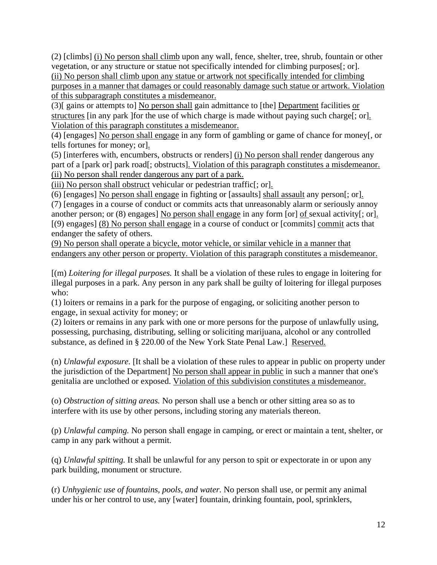(2) [climbs] (i) No person shall climb upon any wall, fence, shelter, tree, shrub, fountain or other vegetation, or any structure or statue not specifically intended for climbing purposes[; or]. (ii) No person shall climb upon any statue or artwork not specifically intended for climbing purposes in a manner that damages or could reasonably damage such statue or artwork. Violation of this subparagraph constitutes a misdemeanor.

(3)[ gains or attempts to] No person shall gain admittance to [the] Department facilities or structures [in any park ]for the use of which charge is made without paying such charge[; or]. Violation of this paragraph constitutes a misdemeanor.

(4) [engages] No person shall engage in any form of gambling or game of chance for money[, or tells fortunes for money; or].

(5) [interferes with, encumbers, obstructs or renders] (i) No person shall render dangerous any part of a [park or] park road[; obstructs]. Violation of this paragraph constitutes a misdemeanor. (ii) No person shall render dangerous any part of a park.

(iii) No person shall obstruct vehicular or pedestrian traffic[; or].

(6) [engages] No person shall engage in fighting or [assaults] shall assault any person[; or]. (7) [engages in a course of conduct or commits acts that unreasonably alarm or seriously annoy another person; or (8) engages] No person shall engage in any form [or] of sexual activity[; or]. [(9) engages] (8) No person shall engage in a course of conduct or [commits] commit acts that endanger the safety of others.

(9) No person shall operate a bicycle, motor vehicle, or similar vehicle in a manner that endangers any other person or property. Violation of this paragraph constitutes a misdemeanor.

[(m) *Loitering for illegal purposes.* It shall be a violation of these rules to engage in loitering for illegal purposes in a park. Any person in any park shall be guilty of loitering for illegal purposes who:

(1) loiters or remains in a park for the purpose of engaging, or soliciting another person to engage, in sexual activity for money; or

(2) loiters or remains in any park with one or more persons for the purpose of unlawfully using, possessing, purchasing, distributing, selling or soliciting marijuana, alcohol or any controlled substance, as defined in § 220.00 of the New York State Penal Law.] Reserved.

(n) *Unlawful exposure.* [It shall be a violation of these rules to appear in public on property under the jurisdiction of the Department] No person shall appear in public in such a manner that one's genitalia are unclothed or exposed. Violation of this subdivision constitutes a misdemeanor.

(o) *Obstruction of sitting areas.* No person shall use a bench or other sitting area so as to interfere with its use by other persons, including storing any materials thereon.

(p) *Unlawful camping.* No person shall engage in camping, or erect or maintain a tent, shelter, or camp in any park without a permit.

(q) *Unlawful spitting.* It shall be unlawful for any person to spit or expectorate in or upon any park building, monument or structure.

(r) *Unhygienic use of fountains, pools, and water.* No person shall use, or permit any animal under his or her control to use, any [water] fountain, drinking fountain, pool, sprinklers,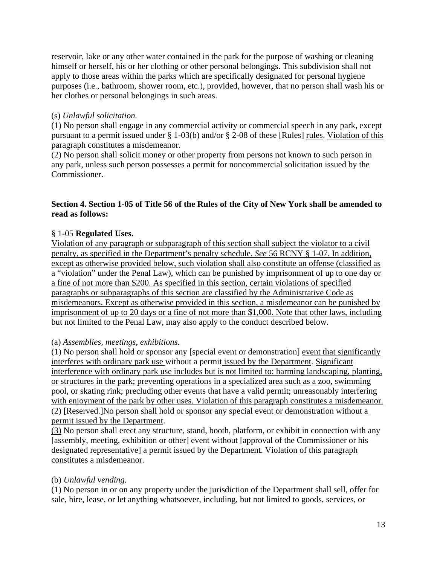reservoir, lake or any other water contained in the park for the purpose of washing or cleaning himself or herself, his or her clothing or other personal belongings. This subdivision shall not apply to those areas within the parks which are specifically designated for personal hygiene purposes (i.e., bathroom, shower room, etc.), provided, however, that no person shall wash his or her clothes or personal belongings in such areas.

## (s) *Unlawful solicitation.*

(1) No person shall engage in any commercial activity or commercial speech in any park, except pursuant to a permit issued under § 1-03(b) and/or § 2-08 of these [Rules] rules. Violation of this paragraph constitutes a misdemeanor.

(2) No person shall solicit money or other property from persons not known to such person in any park, unless such person possesses a permit for noncommercial solicitation issued by the Commissioner.

### **Section 4. Section 1-05 of Title 56 of the Rules of the City of New York shall be amended to read as follows:**

## § 1-05 **Regulated Uses.**

Violation of any paragraph or subparagraph of this section shall subject the violator to a civil penalty, as specified in the Department's penalty schedule. *See* 56 RCNY § 1-07. In addition, except as otherwise provided below, such violation shall also constitute an offense (classified as a "violation" under the Penal Law), which can be punished by imprisonment of up to one day or a fine of not more than \$200. As specified in this section, certain violations of specified paragraphs or subparagraphs of this section are classified by the Administrative Code as misdemeanors. Except as otherwise provided in this section, a misdemeanor can be punished by imprisonment of up to 20 days or a fine of not more than \$1,000. Note that other laws, including but not limited to the Penal Law, may also apply to the conduct described below.

### (a) *Assemblies, meetings, exhibitions.*

(1) No person shall hold or sponsor any [special event or demonstration] event that significantly interferes with ordinary park use without a permit issued by the Department. Significant interference with ordinary park use includes but is not limited to: harming landscaping, planting, or structures in the park; preventing operations in a specialized area such as a zoo, swimming pool, or skating rink; precluding other events that have a valid permit; unreasonably interfering with enjoyment of the park by other uses. Violation of this paragraph constitutes a misdemeanor. (2) [Reserved.]No person shall hold or sponsor any special event or demonstration without a permit issued by the Department.

(3) No person shall erect any structure, stand, booth, platform, or exhibit in connection with any [assembly, meeting, exhibition or other] event without [approval of the Commissioner or his designated representative] a permit issued by the Department. Violation of this paragraph constitutes a misdemeanor.

# (b) *Unlawful vending.*

(1) No person in or on any property under the jurisdiction of the Department shall sell, offer for sale, hire, lease, or let anything whatsoever, including, but not limited to goods, services, or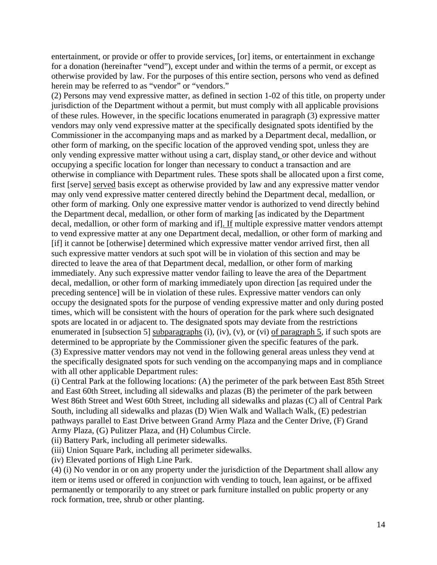entertainment, or provide or offer to provide services, [or] items, or entertainment in exchange for a donation (hereinafter "vend"), except under and within the terms of a permit, or except as otherwise provided by law. For the purposes of this entire section, persons who vend as defined herein may be referred to as "vendor" or "vendors."

(2) Persons may vend expressive matter, as defined in section 1-02 of this title, on property under jurisdiction of the Department without a permit, but must comply with all applicable provisions of these rules. However, in the specific locations enumerated in paragraph (3) expressive matter vendors may only vend expressive matter at the specifically designated spots identified by the Commissioner in the accompanying maps and as marked by a Department decal, medallion, or other form of marking, on the specific location of the approved vending spot, unless they are only vending expressive matter without using a cart, display stand, or other device and without occupying a specific location for longer than necessary to conduct a transaction and are otherwise in compliance with Department rules. These spots shall be allocated upon a first come, first [serve] served basis except as otherwise provided by law and any expressive matter vendor may only vend expressive matter centered directly behind the Department decal, medallion, or other form of marking. Only one expressive matter vendor is authorized to vend directly behind the Department decal, medallion, or other form of marking [as indicated by the Department decal, medallion, or other form of marking and if]. If multiple expressive matter vendors attempt to vend expressive matter at any one Department decal, medallion, or other form of marking and [if] it cannot be [otherwise] determined which expressive matter vendor arrived first, then all such expressive matter vendors at such spot will be in violation of this section and may be directed to leave the area of that Department decal, medallion, or other form of marking immediately. Any such expressive matter vendor failing to leave the area of the Department decal, medallion, or other form of marking immediately upon direction [as required under the preceding sentence] will be in violation of these rules. Expressive matter vendors can only occupy the designated spots for the purpose of vending expressive matter and only during posted times, which will be consistent with the hours of operation for the park where such designated spots are located in or adjacent to. The designated spots may deviate from the restrictions enumerated in [subsection 5] subparagraphs  $(i)$ ,  $(iv)$ ,  $(v)$ , or  $(vi)$  of paragraph 5, if such spots are determined to be appropriate by the Commissioner given the specific features of the park. (3) Expressive matter vendors may not vend in the following general areas unless they vend at the specifically designated spots for such vending on the accompanying maps and in compliance with all other applicable Department rules:

(i) Central Park at the following locations: (A) the perimeter of the park between East 85th Street and East 60th Street, including all sidewalks and plazas (B) the perimeter of the park between West 86th Street and West 60th Street, including all sidewalks and plazas (C) all of Central Park South, including all sidewalks and plazas (D) Wien Walk and Wallach Walk, (E) pedestrian pathways parallel to East Drive between Grand Army Plaza and the Center Drive, (F) Grand Army Plaza, (G) Pulitzer Plaza, and (H) Columbus Circle.

(ii) Battery Park, including all perimeter sidewalks.

(iii) Union Square Park, including all perimeter sidewalks.

(iv) Elevated portions of High Line Park.

(4) (i) No vendor in or on any property under the jurisdiction of the Department shall allow any item or items used or offered in conjunction with vending to touch, lean against, or be affixed permanently or temporarily to any street or park furniture installed on public property or any rock formation, tree, shrub or other planting.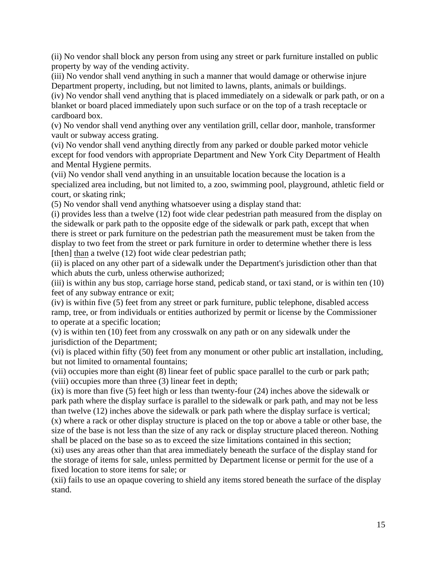(ii) No vendor shall block any person from using any street or park furniture installed on public property by way of the vending activity.

(iii) No vendor shall vend anything in such a manner that would damage or otherwise injure Department property, including, but not limited to lawns, plants, animals or buildings.

(iv) No vendor shall vend anything that is placed immediately on a sidewalk or park path, or on a blanket or board placed immediately upon such surface or on the top of a trash receptacle or cardboard box.

(v) No vendor shall vend anything over any ventilation grill, cellar door, manhole, transformer vault or subway access grating.

(vi) No vendor shall vend anything directly from any parked or double parked motor vehicle except for food vendors with appropriate Department and New York City Department of Health and Mental Hygiene permits.

(vii) No vendor shall vend anything in an unsuitable location because the location is a specialized area including, but not limited to, a zoo, swimming pool, playground, athletic field or court, or skating rink;

(5) No vendor shall vend anything whatsoever using a display stand that:

(i) provides less than a twelve (12) foot wide clear pedestrian path measured from the display on the sidewalk or park path to the opposite edge of the sidewalk or park path, except that when there is street or park furniture on the pedestrian path the measurement must be taken from the display to two feet from the street or park furniture in order to determine whether there is less [then] than a twelve (12) foot wide clear pedestrian path;

(ii) is placed on any other part of a sidewalk under the Department's jurisdiction other than that which abuts the curb, unless otherwise authorized;

(iii) is within any bus stop, carriage horse stand, pedicab stand, or taxi stand, or is within ten (10) feet of any subway entrance or exit;

(iv) is within five (5) feet from any street or park furniture, public telephone, disabled access ramp, tree, or from individuals or entities authorized by permit or license by the Commissioner to operate at a specific location;

(v) is within ten (10) feet from any crosswalk on any path or on any sidewalk under the jurisdiction of the Department;

(vi) is placed within fifty (50) feet from any monument or other public art installation, including, but not limited to ornamental fountains;

(vii) occupies more than eight (8) linear feet of public space parallel to the curb or park path; (viii) occupies more than three (3) linear feet in depth;

(ix) is more than five (5) feet high or less than twenty-four (24) inches above the sidewalk or park path where the display surface is parallel to the sidewalk or park path, and may not be less than twelve (12) inches above the sidewalk or park path where the display surface is vertical; (x) where a rack or other display structure is placed on the top or above a table or other base, the size of the base is not less than the size of any rack or display structure placed thereon. Nothing shall be placed on the base so as to exceed the size limitations contained in this section;

(xi) uses any areas other than that area immediately beneath the surface of the display stand for the storage of items for sale, unless permitted by Department license or permit for the use of a fixed location to store items for sale; or

(xii) fails to use an opaque covering to shield any items stored beneath the surface of the display stand.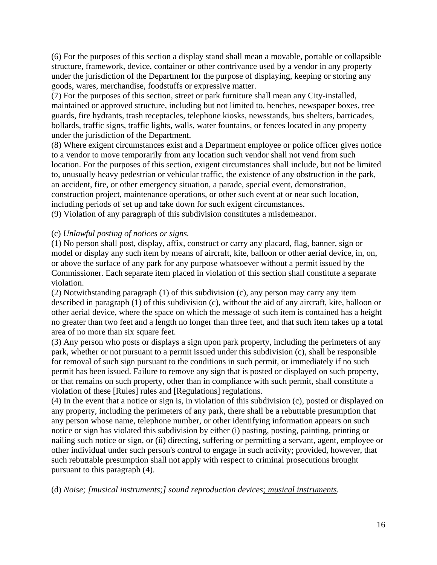(6) For the purposes of this section a display stand shall mean a movable, portable or collapsible structure, framework, device, container or other contrivance used by a vendor in any property under the jurisdiction of the Department for the purpose of displaying, keeping or storing any goods, wares, merchandise, foodstuffs or expressive matter.

(7) For the purposes of this section, street or park furniture shall mean any City-installed, maintained or approved structure, including but not limited to, benches, newspaper boxes, tree guards, fire hydrants, trash receptacles, telephone kiosks, newsstands, bus shelters, barricades, bollards, traffic signs, traffic lights, walls, water fountains, or fences located in any property under the jurisdiction of the Department.

(8) Where exigent circumstances exist and a Department employee or police officer gives notice to a vendor to move temporarily from any location such vendor shall not vend from such location. For the purposes of this section, exigent circumstances shall include, but not be limited to, unusually heavy pedestrian or vehicular traffic, the existence of any obstruction in the park, an accident, fire, or other emergency situation, a parade, special event, demonstration, construction project, maintenance operations, or other such event at or near such location, including periods of set up and take down for such exigent circumstances. (9) Violation of any paragraph of this subdivision constitutes a misdemeanor.

(c) *Unlawful posting of notices or signs.*

(1) No person shall post, display, affix, construct or carry any placard, flag, banner, sign or model or display any such item by means of aircraft, kite, balloon or other aerial device, in, on, or above the surface of any park for any purpose whatsoever without a permit issued by the Commissioner. Each separate item placed in violation of this section shall constitute a separate violation.

(2) Notwithstanding paragraph (1) of this subdivision (c), any person may carry any item described in paragraph (1) of this subdivision (c), without the aid of any aircraft, kite, balloon or other aerial device, where the space on which the message of such item is contained has a height no greater than two feet and a length no longer than three feet, and that such item takes up a total area of no more than six square feet.

(3) Any person who posts or displays a sign upon park property, including the perimeters of any park, whether or not pursuant to a permit issued under this subdivision (c), shall be responsible for removal of such sign pursuant to the conditions in such permit, or immediately if no such permit has been issued. Failure to remove any sign that is posted or displayed on such property, or that remains on such property, other than in compliance with such permit, shall constitute a violation of these [Rules] rules and [Regulations] regulations.

(4) In the event that a notice or sign is, in violation of this subdivision (c), posted or displayed on any property, including the perimeters of any park, there shall be a rebuttable presumption that any person whose name, telephone number, or other identifying information appears on such notice or sign has violated this subdivision by either (i) pasting, posting, painting, printing or nailing such notice or sign, or (ii) directing, suffering or permitting a servant, agent, employee or other individual under such person's control to engage in such activity; provided, however, that such rebuttable presumption shall not apply with respect to criminal prosecutions brought pursuant to this paragraph (4).

(d) *Noise; [musical instruments;] sound reproduction devices; musical instruments.*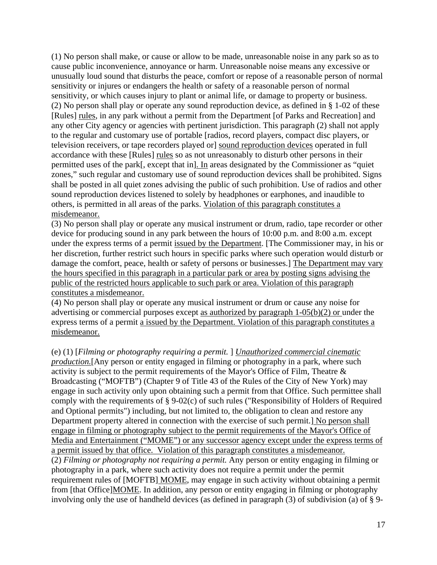(1) No person shall make, or cause or allow to be made, unreasonable noise in any park so as to cause public inconvenience, annoyance or harm. Unreasonable noise means any excessive or unusually loud sound that disturbs the peace, comfort or repose of a reasonable person of normal sensitivity or injures or endangers the health or safety of a reasonable person of normal sensitivity, or which causes injury to plant or animal life, or damage to property or business. (2) No person shall play or operate any sound reproduction device, as defined in § 1-02 of these [Rules] rules, in any park without a permit from the Department [of Parks and Recreation] and any other City agency or agencies with pertinent jurisdiction. This paragraph (2) shall not apply to the regular and customary use of portable [radios, record players, compact disc players, or television receivers, or tape recorders played or] sound reproduction devices operated in full accordance with these [Rules] rules so as not unreasonably to disturb other persons in their permitted uses of the park[, except that in]. In areas designated by the Commissioner as "quiet zones," such regular and customary use of sound reproduction devices shall be prohibited. Signs shall be posted in all quiet zones advising the public of such prohibition. Use of radios and other sound reproduction devices listened to solely by headphones or earphones, and inaudible to others, is permitted in all areas of the parks. Violation of this paragraph constitutes a misdemeanor.

(3) No person shall play or operate any musical instrument or drum, radio, tape recorder or other device for producing sound in any park between the hours of 10:00 p.m. and 8:00 a.m. except under the express terms of a permit issued by the Department. [The Commissioner may, in his or her discretion, further restrict such hours in specific parks where such operation would disturb or damage the comfort, peace, health or safety of persons or businesses.] The Department may vary the hours specified in this paragraph in a particular park or area by posting signs advising the public of the restricted hours applicable to such park or area. Violation of this paragraph constitutes a misdemeanor.

(4) No person shall play or operate any musical instrument or drum or cause any noise for advertising or commercial purposes except as authorized by paragraph 1-05(b)(2) or under the express terms of a permit a issued by the Department. Violation of this paragraph constitutes a misdemeanor.

(e) (1) [*Filming or photography requiring a permit.* ] *Unauthorized commercial cinematic production.*[Any person or entity engaged in filming or photography in a park, where such activity is subject to the permit requirements of the Mayor's Office of Film, Theatre & Broadcasting ("MOFTB") (Chapter 9 of Title 43 of the Rules of the City of New York) may engage in such activity only upon obtaining such a permit from that Office. Such permittee shall comply with the requirements of § 9-02(c) of such rules ("Responsibility of Holders of Required and Optional permits") including, but not limited to, the obligation to clean and restore any Department property altered in connection with the exercise of such permit.] No person shall engage in filming or photography subject to the permit requirements of the Mayor's Office of Media and Entertainment ("MOME") or any successor agency except under the express terms of a permit issued by that office. Violation of this paragraph constitutes a misdemeanor. (2) *Filming or photography not requiring a permit.* Any person or entity engaging in filming or photography in a park, where such activity does not require a permit under the permit requirement rules of [MOFTB] MOME, may engage in such activity without obtaining a permit from [that Office]MOME. In addition, any person or entity engaging in filming or photography involving only the use of handheld devices (as defined in paragraph (3) of subdivision (a) of § 9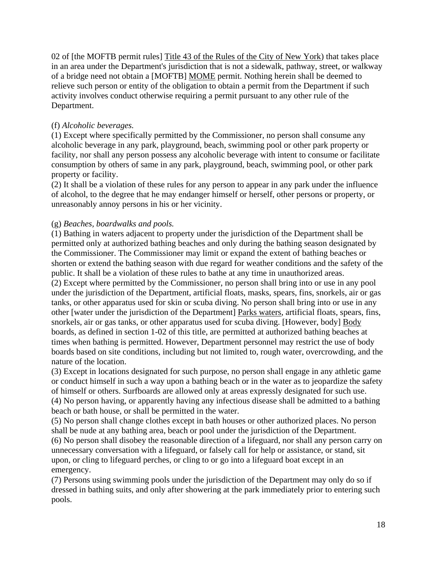02 of [the MOFTB permit rules] Title 43 of the Rules of the City of New York) that takes place in an area under the Department's jurisdiction that is not a sidewalk, pathway, street, or walkway of a bridge need not obtain a [MOFTB] MOME permit. Nothing herein shall be deemed to relieve such person or entity of the obligation to obtain a permit from the Department if such activity involves conduct otherwise requiring a permit pursuant to any other rule of the Department.

### (f) *Alcoholic beverages.*

(1) Except where specifically permitted by the Commissioner, no person shall consume any alcoholic beverage in any park, playground, beach, swimming pool or other park property or facility, nor shall any person possess any alcoholic beverage with intent to consume or facilitate consumption by others of same in any park, playground, beach, swimming pool, or other park property or facility.

(2) It shall be a violation of these rules for any person to appear in any park under the influence of alcohol, to the degree that he may endanger himself or herself, other persons or property, or unreasonably annoy persons in his or her vicinity.

### (g) *Beaches, boardwalks and pools.*

(1) Bathing in waters adjacent to property under the jurisdiction of the Department shall be permitted only at authorized bathing beaches and only during the bathing season designated by the Commissioner. The Commissioner may limit or expand the extent of bathing beaches or shorten or extend the bathing season with due regard for weather conditions and the safety of the public. It shall be a violation of these rules to bathe at any time in unauthorized areas.

(2) Except where permitted by the Commissioner, no person shall bring into or use in any pool under the jurisdiction of the Department, artificial floats, masks, spears, fins, snorkels, air or gas tanks, or other apparatus used for skin or scuba diving. No person shall bring into or use in any other [water under the jurisdiction of the Department] Parks waters, artificial floats, spears, fins, snorkels, air or gas tanks, or other apparatus used for scuba diving. [However, body] Body boards, as defined in section 1-02 of this title, are permitted at authorized bathing beaches at times when bathing is permitted. However, Department personnel may restrict the use of body boards based on site conditions, including but not limited to, rough water, overcrowding, and the nature of the location.

(3) Except in locations designated for such purpose, no person shall engage in any athletic game or conduct himself in such a way upon a bathing beach or in the water as to jeopardize the safety of himself or others. Surfboards are allowed only at areas expressly designated for such use. (4) No person having, or apparently having any infectious disease shall be admitted to a bathing beach or bath house, or shall be permitted in the water.

(5) No person shall change clothes except in bath houses or other authorized places. No person shall be nude at any bathing area, beach or pool under the jurisdiction of the Department. (6) No person shall disobey the reasonable direction of a lifeguard, nor shall any person carry on unnecessary conversation with a lifeguard, or falsely call for help or assistance, or stand, sit upon, or cling to lifeguard perches, or cling to or go into a lifeguard boat except in an

emergency.

(7) Persons using swimming pools under the jurisdiction of the Department may only do so if dressed in bathing suits, and only after showering at the park immediately prior to entering such pools.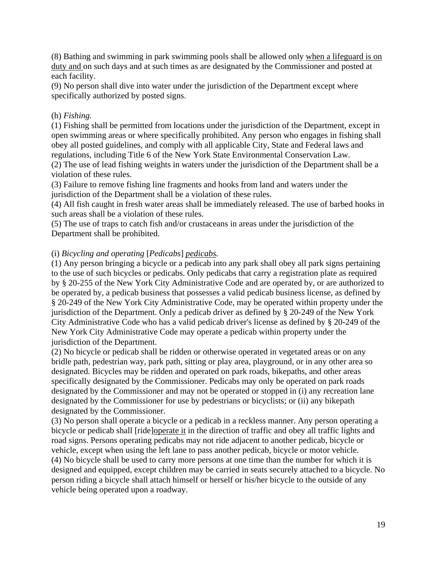(8) Bathing and swimming in park swimming pools shall be allowed only when a lifeguard is on duty and on such days and at such times as are designated by the Commissioner and posted at each facility.

(9) No person shall dive into water under the jurisdiction of the Department except where specifically authorized by posted signs.

### (h) *Fishing.*

(1) Fishing shall be permitted from locations under the jurisdiction of the Department, except in open swimming areas or where specifically prohibited. Any person who engages in fishing shall obey all posted guidelines, and comply with all applicable City, State and Federal laws and regulations, including Title 6 of the New York State Environmental Conservation Law.

(2) The use of lead fishing weights in waters under the jurisdiction of the Department shall be a violation of these rules.

(3) Failure to remove fishing line fragments and hooks from land and waters under the jurisdiction of the Department shall be a violation of these rules.

(4) All fish caught in fresh water areas shall be immediately released. The use of barbed hooks in such areas shall be a violation of these rules.

(5) The use of traps to catch fish and/or crustaceans in areas under the jurisdiction of the Department shall be prohibited.

# (i) *Bicycling and operating* [*Pedicabs*] *pedicabs.*

(1) Any person bringing a bicycle or a pedicab into any park shall obey all park signs pertaining to the use of such bicycles or pedicabs. Only pedicabs that carry a registration plate as required by § 20-255 of the New York City Administrative Code and are operated by, or are authorized to be operated by, a pedicab business that possesses a valid pedicab business license, as defined by § 20-249 of the New York City Administrative Code, may be operated within property under the jurisdiction of the Department. Only a pedicab driver as defined by § 20-249 of the New York City Administrative Code who has a valid pedicab driver's license as defined by § 20-249 of the New York City Administrative Code may operate a pedicab within property under the jurisdiction of the Department.

(2) No bicycle or pedicab shall be ridden or otherwise operated in vegetated areas or on any bridle path, pedestrian way, park path, sitting or play area, playground, or in any other area so designated. Bicycles may be ridden and operated on park roads, bikepaths, and other areas specifically designated by the Commissioner. Pedicabs may only be operated on park roads designated by the Commissioner and may not be operated or stopped in (i) any recreation lane designated by the Commissioner for use by pedestrians or bicyclists; or (ii) any bikepath designated by the Commissioner.

(3) No person shall operate a bicycle or a pedicab in a reckless manner. Any person operating a bicycle or pedicab shall [ride]operate it in the direction of traffic and obey all traffic lights and road signs. Persons operating pedicabs may not ride adjacent to another pedicab, bicycle or vehicle, except when using the left lane to pass another pedicab, bicycle or motor vehicle. (4) No bicycle shall be used to carry more persons at one time than the number for which it is designed and equipped, except children may be carried in seats securely attached to a bicycle. No person riding a bicycle shall attach himself or herself or his/her bicycle to the outside of any vehicle being operated upon a roadway.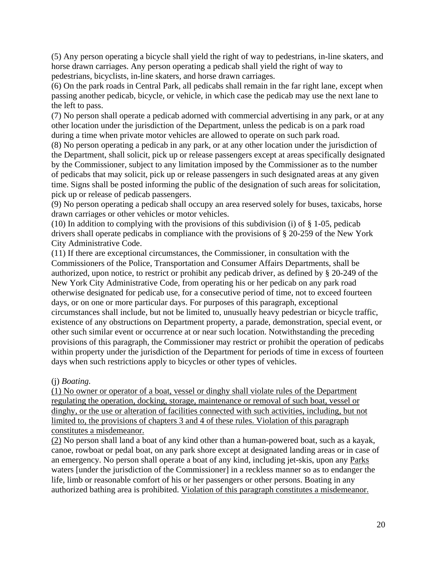(5) Any person operating a bicycle shall yield the right of way to pedestrians, in-line skaters, and horse drawn carriages. Any person operating a pedicab shall yield the right of way to pedestrians, bicyclists, in-line skaters, and horse drawn carriages.

(6) On the park roads in Central Park, all pedicabs shall remain in the far right lane, except when passing another pedicab, bicycle, or vehicle, in which case the pedicab may use the next lane to the left to pass.

(7) No person shall operate a pedicab adorned with commercial advertising in any park, or at any other location under the jurisdiction of the Department, unless the pedicab is on a park road during a time when private motor vehicles are allowed to operate on such park road.

(8) No person operating a pedicab in any park, or at any other location under the jurisdiction of the Department, shall solicit, pick up or release passengers except at areas specifically designated by the Commissioner, subject to any limitation imposed by the Commissioner as to the number of pedicabs that may solicit, pick up or release passengers in such designated areas at any given time. Signs shall be posted informing the public of the designation of such areas for solicitation, pick up or release of pedicab passengers.

(9) No person operating a pedicab shall occupy an area reserved solely for buses, taxicabs, horse drawn carriages or other vehicles or motor vehicles.

(10) In addition to complying with the provisions of this subdivision (i) of  $\S$  1-05, pedicab drivers shall operate pedicabs in compliance with the provisions of § 20-259 of the New York City Administrative Code.

(11) If there are exceptional circumstances, the Commissioner, in consultation with the Commissioners of the Police, Transportation and Consumer Affairs Departments, shall be authorized, upon notice, to restrict or prohibit any pedicab driver, as defined by § 20-249 of the New York City Administrative Code, from operating his or her pedicab on any park road otherwise designated for pedicab use, for a consecutive period of time, not to exceed fourteen days, or on one or more particular days. For purposes of this paragraph, exceptional circumstances shall include, but not be limited to, unusually heavy pedestrian or bicycle traffic, existence of any obstructions on Department property, a parade, demonstration, special event, or other such similar event or occurrence at or near such location. Notwithstanding the preceding provisions of this paragraph, the Commissioner may restrict or prohibit the operation of pedicabs within property under the jurisdiction of the Department for periods of time in excess of fourteen days when such restrictions apply to bicycles or other types of vehicles.

### (j) *Boating.*

(1) No owner or operator of a boat, vessel or dinghy shall violate rules of the Department regulating the operation, docking, storage, maintenance or removal of such boat, vessel or dinghy, or the use or alteration of facilities connected with such activities, including, but not limited to, the provisions of chapters 3 and 4 of these rules. Violation of this paragraph constitutes a misdemeanor.

(2) No person shall land a boat of any kind other than a human-powered boat, such as a kayak, canoe, rowboat or pedal boat, on any park shore except at designated landing areas or in case of an emergency. No person shall operate a boat of any kind, including jet-skis, upon any Parks waters [under the jurisdiction of the Commissioner] in a reckless manner so as to endanger the life, limb or reasonable comfort of his or her passengers or other persons. Boating in any authorized bathing area is prohibited. Violation of this paragraph constitutes a misdemeanor.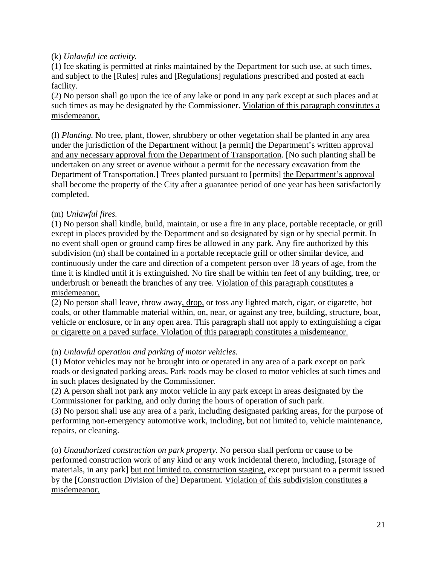### (k) *Unlawful ice activity.*

(1) Ice skating is permitted at rinks maintained by the Department for such use, at such times, and subject to the [Rules] rules and [Regulations] regulations prescribed and posted at each facility.

(2) No person shall go upon the ice of any lake or pond in any park except at such places and at such times as may be designated by the Commissioner. Violation of this paragraph constitutes a misdemeanor.

(l) *Planting.* No tree, plant, flower, shrubbery or other vegetation shall be planted in any area under the jurisdiction of the Department without [a permit] the Department's written approval and any necessary approval from the Department of Transportation. [No such planting shall be undertaken on any street or avenue without a permit for the necessary excavation from the Department of Transportation.] Trees planted pursuant to [permits] the Department's approval shall become the property of the City after a guarantee period of one year has been satisfactorily completed.

## (m) *Unlawful fires.*

(1) No person shall kindle, build, maintain, or use a fire in any place, portable receptacle, or grill except in places provided by the Department and so designated by sign or by special permit. In no event shall open or ground camp fires be allowed in any park. Any fire authorized by this subdivision (m) shall be contained in a portable receptacle grill or other similar device, and continuously under the care and direction of a competent person over 18 years of age, from the time it is kindled until it is extinguished. No fire shall be within ten feet of any building, tree, or underbrush or beneath the branches of any tree. Violation of this paragraph constitutes a misdemeanor.

(2) No person shall leave, throw away, drop, or toss any lighted match, cigar, or cigarette, hot coals, or other flammable material within, on, near, or against any tree, building, structure, boat, vehicle or enclosure, or in any open area. This paragraph shall not apply to extinguishing a cigar or cigarette on a paved surface. Violation of this paragraph constitutes a misdemeanor.

# (n) *Unlawful operation and parking of motor vehicles.*

(1) Motor vehicles may not be brought into or operated in any area of a park except on park roads or designated parking areas. Park roads may be closed to motor vehicles at such times and in such places designated by the Commissioner.

(2) A person shall not park any motor vehicle in any park except in areas designated by the Commissioner for parking, and only during the hours of operation of such park.

(3) No person shall use any area of a park, including designated parking areas, for the purpose of performing non-emergency automotive work, including, but not limited to, vehicle maintenance, repairs, or cleaning.

(o) *Unauthorized construction on park property.* No person shall perform or cause to be performed construction work of any kind or any work incidental thereto, including, [storage of materials, in any park] but not limited to, construction staging, except pursuant to a permit issued by the [Construction Division of the] Department. Violation of this subdivision constitutes a misdemeanor.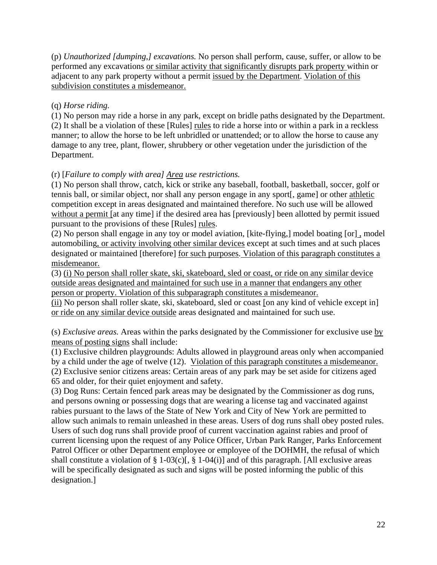(p) *Unauthorized [dumping,] excavations.* No person shall perform, cause, suffer, or allow to be performed any excavations or similar activity that significantly disrupts park property within or adjacent to any park property without a permit issued by the Department. Violation of this subdivision constitutes a misdemeanor.

# (q) *Horse riding.*

(1) No person may ride a horse in any park, except on bridle paths designated by the Department. (2) It shall be a violation of these [Rules] rules to ride a horse into or within a park in a reckless manner; to allow the horse to be left unbridled or unattended; or to allow the horse to cause any damage to any tree, plant, flower, shrubbery or other vegetation under the jurisdiction of the Department.

### (r) [*Failure to comply with area] Area use restrictions.*

(1) No person shall throw, catch, kick or strike any baseball, football, basketball, soccer, golf or tennis ball, or similar object, nor shall any person engage in any sport[, game] or other athletic competition except in areas designated and maintained therefore. No such use will be allowed without a permit [at any time] if the desired area has [previously] been allotted by permit issued pursuant to the provisions of these [Rules] rules.

(2) No person shall engage in any toy or model aviation, [kite-flying,] model boating [or], model automobiling, or activity involving other similar devices except at such times and at such places designated or maintained [therefore] for such purposes. Violation of this paragraph constitutes a misdemeanor.

(3) (i) No person shall roller skate, ski, skateboard, sled or coast, or ride on any similar device outside areas designated and maintained for such use in a manner that endangers any other person or property. Violation of this subparagraph constitutes a misdemeanor.

(ii) No person shall roller skate, ski, skateboard, sled or coast [on any kind of vehicle except in] or ride on any similar device outside areas designated and maintained for such use.

(s) *Exclusive areas.* Areas within the parks designated by the Commissioner for exclusive use by means of posting signs shall include:

(1) Exclusive children playgrounds: Adults allowed in playground areas only when accompanied by a child under the age of twelve (12). Violation of this paragraph constitutes a misdemeanor.

(2) Exclusive senior citizens areas: Certain areas of any park may be set aside for citizens aged 65 and older, for their quiet enjoyment and safety.

(3) Dog Runs: Certain fenced park areas may be designated by the Commissioner as dog runs, and persons owning or possessing dogs that are wearing a license tag and vaccinated against rabies pursuant to the laws of the State of New York and City of New York are permitted to allow such animals to remain unleashed in these areas. Users of dog runs shall obey posted rules. Users of such dog runs shall provide proof of current vaccination against rabies and proof of current licensing upon the request of any Police Officer, Urban Park Ranger, Parks Enforcement Patrol Officer or other Department employee or employee of the DOHMH, the refusal of which shall constitute a violation of § 1-03(c)[, § 1-04(i)] and of this paragraph. [All exclusive areas will be specifically designated as such and signs will be posted informing the public of this designation.]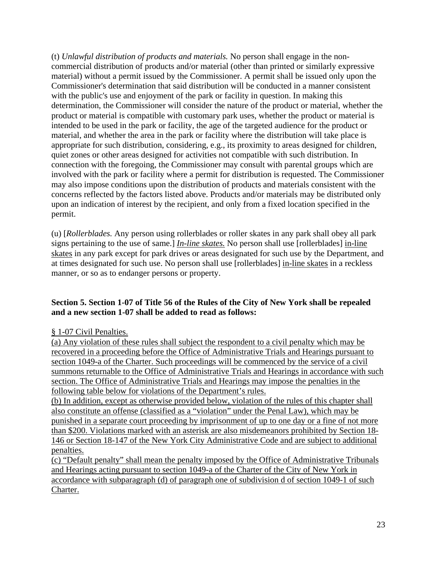(t) *Unlawful distribution of products and materials.* No person shall engage in the noncommercial distribution of products and/or material (other than printed or similarly expressive material) without a permit issued by the Commissioner. A permit shall be issued only upon the Commissioner's determination that said distribution will be conducted in a manner consistent with the public's use and enjoyment of the park or facility in question. In making this determination, the Commissioner will consider the nature of the product or material, whether the product or material is compatible with customary park uses, whether the product or material is intended to be used in the park or facility, the age of the targeted audience for the product or material, and whether the area in the park or facility where the distribution will take place is appropriate for such distribution, considering, e.g., its proximity to areas designed for children, quiet zones or other areas designed for activities not compatible with such distribution. In connection with the foregoing, the Commissioner may consult with parental groups which are involved with the park or facility where a permit for distribution is requested. The Commissioner may also impose conditions upon the distribution of products and materials consistent with the concerns reflected by the factors listed above. Products and/or materials may be distributed only upon an indication of interest by the recipient, and only from a fixed location specified in the permit.

(u) [*Rollerblades.* Any person using rollerblades or roller skates in any park shall obey all park signs pertaining to the use of same.] *In-line skates.* No person shall use [rollerblades] in-line skates in any park except for park drives or areas designated for such use by the Department, and at times designated for such use. No person shall use [rollerblades] in-line skates in a reckless manner, or so as to endanger persons or property.

### **Section 5. Section 1-07 of Title 56 of the Rules of the City of New York shall be repealed and a new section 1-07 shall be added to read as follows:**

### § 1-07 Civil Penalties.

(a) Any violation of these rules shall subject the respondent to a civil penalty which may be recovered in a proceeding before the Office of Administrative Trials and Hearings pursuant to section 1049-a of the Charter. Such proceedings will be commenced by the service of a civil summons returnable to the Office of Administrative Trials and Hearings in accordance with such section. The Office of Administrative Trials and Hearings may impose the penalties in the following table below for violations of the Department's rules.

(b) In addition, except as otherwise provided below, violation of the rules of this chapter shall also constitute an offense (classified as a "violation" under the Penal Law), which may be punished in a separate court proceeding by imprisonment of up to one day or a fine of not more than \$200. Violations marked with an asterisk are also misdemeanors prohibited by Section 18- 146 or Section 18-147 of the New York City Administrative Code and are subject to additional penalties.

(c) "Default penalty" shall mean the penalty imposed by the Office of Administrative Tribunals and Hearings acting pursuant to section 1049-a of the Charter of the City of New York in accordance with subparagraph (d) of paragraph one of subdivision d of section 1049-1 of such Charter.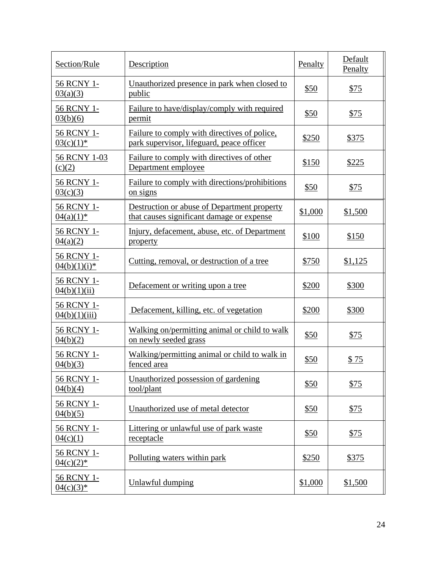| Section/Rule                 | Description                                                                               | Penalty     | Default<br>Penalty |
|------------------------------|-------------------------------------------------------------------------------------------|-------------|--------------------|
| 56 RCNY 1-<br>03(a)(3)       | Unauthorized presence in park when closed to<br>public                                    | \$50        | \$75               |
| 56 RCNY 1-<br>03(b)(6)       | Failure to have/display/comply with required<br>permit                                    | \$50        | \$75               |
| 56 RCNY 1-<br>$03(c)(1)^*$   | Failure to comply with directives of police,<br>park supervisor, lifeguard, peace officer | \$250       | \$375              |
| 56 RCNY 1-03<br>(c)(2)       | Failure to comply with directives of other<br>Department employee                         | \$150       | \$225              |
| 56 RCNY 1-<br>03(c)(3)       | Failure to comply with directions/prohibitions<br><u>on signs</u>                         | \$50        | \$75               |
| 56 RCNY 1-<br>$04(a)(1)^*$   | Destruction or abuse of Department property<br>that causes significant damage or expense  | \$1,000     | \$1,500            |
| 56 RCNY 1-<br>04(a)(2)       | Injury, defacement, abuse, etc. of Department<br>property                                 | \$100       | \$150              |
| 56 RCNY 1-<br>$04(b)(1)(i)*$ | Cutting, removal, or destruction of a tree                                                | \$750       | \$1,125            |
| 56 RCNY 1-<br>04(b)(1)(ii)   | Defacement or writing upon a tree                                                         | \$200       | \$300              |
| 56 RCNY 1-<br>04(b)(1)(iii)  | Defacement, killing, etc. of vegetation                                                   | \$200       | \$300              |
| 56 RCNY 1-<br>04(b)(2)       | Walking on/permitting animal or child to walk<br>on newly seeded grass                    | \$50        | \$75               |
| 56 RCNY 1-<br>04(b)(3)       | Walking/permitting animal or child to walk in<br>fenced area                              | \$50        | \$75               |
| 56 RCNY 1-<br>04(b)(4)       | Unauthorized possession of gardening<br>tool/plant                                        | \$50        | \$75               |
| 56 RCNY 1-<br>04(b)(5)       | Unauthorized use of metal detector                                                        | \$50        | \$75               |
| 56 RCNY 1-<br>04(c)(1)       | Littering or unlawful use of park waste<br>receptacle                                     | <u>\$50</u> | \$75               |
| 56 RCNY 1-<br>$04(c)(2)^*$   | Polluting waters within park                                                              | \$250       | \$375              |
| 56 RCNY 1-<br>$04(c)(3)^*$   | <b>Unlawful dumping</b>                                                                   | \$1,000     | \$1,500            |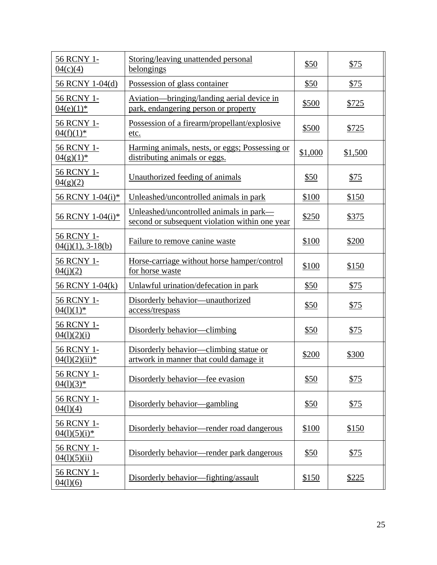| 56 RCNY 1-<br>04(c)(4)            | Storing/leaving unattended personal<br>belongings                                         | \$50        | \$75        |
|-----------------------------------|-------------------------------------------------------------------------------------------|-------------|-------------|
| 56 RCNY 1-04(d)                   | Possession of glass container                                                             | \$50        | \$75        |
| 56 RCNY 1-<br>$04(e)(1)^*$        | Aviation—bringing/landing aerial device in<br>park, endangering person or property        | \$500       | \$725       |
| 56 RCNY 1-<br>$04(f)(1)^*$        | Possession of a firearm/propellant/explosive<br>etc.                                      | \$500       | \$725       |
| 56 RCNY 1-<br>$04(g)(1)^*$        | Harming animals, nests, or eggs; Possessing or<br>distributing animals or eggs.           | \$1,000     | \$1,500     |
| 56 RCNY 1-<br>04(g)(2)            | Unauthorized feeding of animals                                                           | \$50        | \$75        |
| 56 RCNY 1-04(i)*                  | Unleashed/uncontrolled animals in park                                                    | \$100       | \$150       |
| 56 RCNY 1-04(i)*                  | Unleashed/uncontrolled animals in park—<br>second or subsequent violation within one year | \$250       | \$375       |
| 56 RCNY 1-<br>$04(j)(1), 3-18(b)$ | Failure to remove canine waste                                                            | \$100       | \$200       |
| 56 RCNY 1-<br>04(i)(2)            | Horse-carriage without horse hamper/control<br>for horse waste                            | \$100       | \$150       |
| 56 RCNY 1-04(k)                   | Unlawful urination/defecation in park                                                     | \$50        | \$75        |
| 56 RCNY 1-<br>$04(1)(1)^*$        | Disorderly behavior—unauthorized<br>access/trespass                                       | \$50        | <u>\$75</u> |
| 56 RCNY 1-<br>04(1)(2)(i)         | Disorderly behavior—climbing                                                              | \$50        | <u>\$75</u> |
| 56 RCNY 1-<br>$04(1)(2)(ii)*$     | Disorderly behavior—climbing statue or<br>artwork in manner that could damage it          | \$200       | \$300       |
| 56 RCNY 1-<br>$04(1)(3)*$         | Disorderly behavior—fee evasion                                                           | \$50        | \$75        |
| 56 RCNY 1-<br>04(1)(4)            | Disorderly behavior—gambling                                                              | <u>\$50</u> | <u>\$75</u> |
| 56 RCNY 1-<br>$04(1)(5)(i)*$      | Disorderly behavior—render road dangerous                                                 | \$100       | \$150       |
| 56 RCNY 1-<br>04(1)(5)(ii)        | Disorderly behavior—render park dangerous                                                 | \$50        | <u>\$75</u> |
| 56 RCNY 1-<br>04(1)(6)            | Disorderly behavior-fighting/assault                                                      | \$150       | \$225       |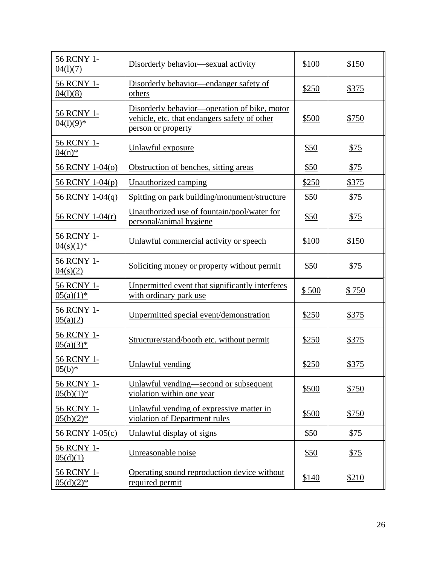| 56 RCNY 1-<br>04(1)(7)            | Disorderly behavior—sexual activity                                                                                | \$100 | \$150 |
|-----------------------------------|--------------------------------------------------------------------------------------------------------------------|-------|-------|
| 56 RCNY 1-<br>04(1)(8)            | Disorderly behavior—endanger safety of<br>others                                                                   | \$250 | \$375 |
| 56 RCNY 1-<br>$04(1)(9)*$         | Disorderly behavior—operation of bike, motor<br>vehicle, etc. that endangers safety of other<br>person or property | \$500 | \$750 |
| 56 RCNY 1-<br>$\frac{04(n)^*}{2}$ | Unlawful exposure                                                                                                  | \$50  | \$75  |
| 56 RCNY 1-04(0)                   | Obstruction of benches, sitting areas                                                                              | \$50  | \$75  |
| 56 RCNY 1-04(p)                   | <b>Unauthorized camping</b>                                                                                        | \$250 | \$375 |
| 56 RCNY 1-04(q)                   | Spitting on park building/monument/structure                                                                       | \$50  | \$75  |
| 56 RCNY 1-04(r)                   | Unauthorized use of fountain/pool/water for<br>personal/animal hygiene                                             | \$50  | \$75  |
| 56 RCNY 1-<br>$04(s)(1)^*$        | Unlawful commercial activity or speech                                                                             | \$100 | \$150 |
| 56 RCNY 1-<br>04(s)(2)            | Soliciting money or property without permit                                                                        | \$50  | \$75  |
| 56 RCNY 1-<br>$05(a)(1)^*$        | Unpermitted event that significantly interferes<br>with ordinary park use                                          | \$500 | \$750 |
| 56 RCNY 1-<br>05(a)(2)            | Unpermitted special event/demonstration                                                                            | \$250 | \$375 |
| 56 RCNY 1-<br>$05(a)(3)^*$        | Structure/stand/booth etc. without permit                                                                          | \$250 | \$375 |
| 56 RCNY 1-<br>$05(b)^*$           | Unlawful vending                                                                                                   | \$250 | \$375 |
| 56 RCNY 1-<br>$05(b)(1)$ *        | Unlawful vending—second or subsequent<br>violation within one year                                                 | \$500 | \$750 |
| 56 RCNY 1-<br>$05(b)(2)*$         | Unlawful vending of expressive matter in<br>violation of Department rules                                          | \$500 | \$750 |
| 56 RCNY 1-05(c)                   | Unlawful display of signs                                                                                          | \$50  | \$75  |
| 56 RCNY 1-<br>05(d)(1)            | Unreasonable noise                                                                                                 | \$50  | \$75  |
| 56 RCNY 1-<br>$05(d)(2)^*$        | Operating sound reproduction device without<br>required permit                                                     | \$140 | \$210 |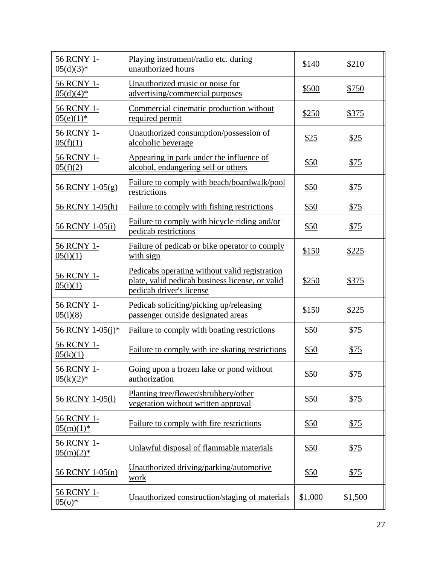| 56 RCNY 1-<br>$05(d)(3)*$  | Playing instrument/radio etc. during<br>unauthorized hours                                                                   | \$140       | \$210       |
|----------------------------|------------------------------------------------------------------------------------------------------------------------------|-------------|-------------|
| 56 RCNY 1-<br>$05(d)(4)^*$ | Unauthorized music or noise for<br>advertising/commercial purposes                                                           | \$500       | \$750       |
| 56 RCNY 1-<br>$05(e)(1)^*$ | Commercial cinematic production without<br>required permit                                                                   | \$250       | \$375       |
| 56 RCNY 1-<br>05(f)(1)     | Unauthorized consumption/possession of<br>alcoholic beverage                                                                 | \$25        | \$25        |
| 56 RCNY 1-<br>05(f)(2)     | Appearing in park under the influence of<br>alcohol, endangering self or others                                              | \$50        | \$75        |
| 56 RCNY 1-05(g)            | Failure to comply with beach/boardwalk/pool<br>restrictions                                                                  | \$50        | \$75        |
| 56 RCNY 1-05(h)            | Failure to comply with fishing restrictions                                                                                  | \$50        | \$75        |
| 56 RCNY 1-05(i)            | Failure to comply with bicycle riding and/or<br>pedicab restrictions                                                         | \$50        | \$75        |
| 56 RCNY 1-<br>05(i)(1)     | Failure of pedicab or bike operator to comply<br>with sign                                                                   | \$150       | \$225       |
| 56 RCNY 1-<br>05(i)(1)     | Pedicabs operating without valid registration<br>plate, valid pedicab business license, or valid<br>pedicab driver's license | \$250       | \$375       |
| 56 RCNY 1-<br>05(i)(8)     | Pedicab soliciting/picking up/releasing<br>passenger outside designated areas                                                | \$150       | \$225       |
| 56 RCNY 1-05(j)*           | Failure to comply with boating restrictions                                                                                  | \$50        | \$75        |
| 56 RCNY 1-<br>05(k)(1)     | Failure to comply with ice skating restrictions                                                                              | \$50        | \$75        |
| 56 RCNY 1-<br>$05(k)(2)*$  | Going upon a frozen lake or pond without<br>authorization                                                                    | \$50        | \$75        |
| 56 RCNY 1-05(1)            | Planting tree/flower/shrubbery/other<br>vegetation without written approval                                                  | \$50        | <u>\$75</u> |
| 56 RCNY 1-<br>$05(m)(1)$ * | Failure to comply with fire restrictions                                                                                     | <u>\$50</u> | <u>\$75</u> |
| 56 RCNY 1-<br>$05(m)(2)$ * | Unlawful disposal of flammable materials                                                                                     | \$50        | \$75        |
| 56 RCNY 1-05(n)            | Unauthorized driving/parking/automotive<br>work                                                                              | \$50        | <u>\$75</u> |
| 56 RCNY 1-<br>$05(0)^*$    | Unauthorized construction/staging of materials                                                                               | \$1,000     | \$1,500     |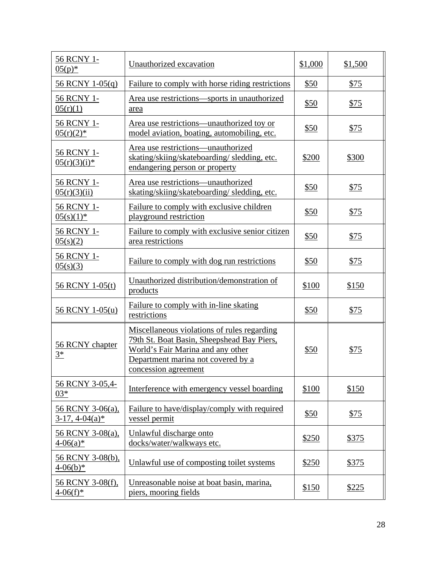| 56 RCNY 1-<br>$\frac{05(p)^*}{2}$      | Unauthorized excavation                                                                                                                                                                      | \$1,000     | \$1,500 |
|----------------------------------------|----------------------------------------------------------------------------------------------------------------------------------------------------------------------------------------------|-------------|---------|
| 56 RCNY 1-05(q)                        | Failure to comply with horse riding restrictions                                                                                                                                             | \$50        | \$75    |
| 56 RCNY 1-<br>05(r)(1)                 | Area use restrictions—sports in unauthorized<br>area                                                                                                                                         | \$50        | \$75    |
| 56 RCNY 1-<br>$05(r)(2)*$              | Area use restrictions—unauthorized toy or<br>model aviation, boating, automobiling, etc.                                                                                                     | \$50        | \$75    |
| 56 RCNY 1-<br>$\frac{05(r)(3)(i)*}{2}$ | Area use restrictions—unauthorized<br>skating/skiing/skateboarding/sledding, etc.<br>endangering person or property                                                                          | \$200       | \$300   |
| 56 RCNY 1-<br>05(r)(3)(ii)             | Area use restrictions-unauthorized<br>skating/skiing/skateboarding/sledding, etc.                                                                                                            | \$50        | \$75    |
| 56 RCNY 1-<br>$05(s)(1)$ *             | Failure to comply with exclusive children<br>playground restriction                                                                                                                          | \$50        | \$75    |
| 56 RCNY 1-<br>05(s)(2)                 | Failure to comply with exclusive senior citizen<br>area restrictions                                                                                                                         | \$50        | \$75    |
| 56 RCNY 1-<br>05(s)(3)                 | Failure to comply with dog run restrictions                                                                                                                                                  | <u>\$50</u> | \$75    |
| 56 RCNY 1-05(t)                        | Unauthorized distribution/demonstration of<br>products                                                                                                                                       | \$100       | \$150   |
| 56 RCNY 1-05(u)                        | Failure to comply with in-line skating<br>restrictions                                                                                                                                       | \$50        | \$75    |
| 56 RCNY chapter<br>$3^*$               | Miscellaneous violations of rules regarding<br>79th St. Boat Basin, Sheepshead Bay Piers,<br>World's Fair Marina and any other<br>Department marina not covered by a<br>concession agreement | \$50        | \$75    |
| 56 RCNY 3-05,4-<br>$03*$               | Interference with emergency vessel boarding                                                                                                                                                  | \$100       | \$150   |
| 56 RCNY 3-06(a),<br>$3-17, 4-04(a)$ *  | Failure to have/display/comply with required<br>vessel permit                                                                                                                                | \$50        | \$75    |
| 56 RCNY 3-08(a),<br>$4-06(a)*$         | Unlawful discharge onto<br>docks/water/walkways etc.                                                                                                                                         | \$250       | \$375   |
| 56 RCNY 3-08(b),<br>$4-06(b)*$         | Unlawful use of composting toilet systems                                                                                                                                                    | \$250       | \$375   |
| 56 RCNY 3-08(f),<br>$4-06(f)^*$        | Unreasonable noise at boat basin, marina,<br>piers, mooring fields                                                                                                                           | \$150       | \$225   |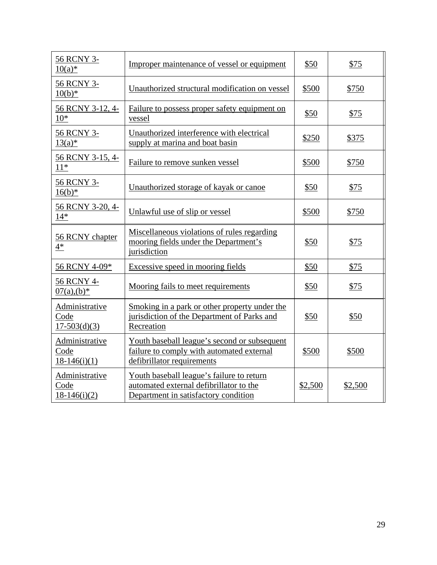| 56 RCNY 3-<br>$10(a)*$                   | Improper maintenance of vessel or equipment                                                                                  | \$50    | \$75    |
|------------------------------------------|------------------------------------------------------------------------------------------------------------------------------|---------|---------|
| 56 RCNY 3-<br>$10(b)*$                   | Unauthorized structural modification on vessel                                                                               | \$500   | \$750   |
| 56 RCNY 3-12, 4-<br>$10*$                | Failure to possess proper safety equipment on<br>vessel                                                                      | \$50    | \$75    |
| 56 RCNY 3-<br>$13(a)*$                   | Unauthorized interference with electrical<br>supply at marina and boat basin                                                 | \$250   | \$375   |
| 56 RCNY 3-15, 4-<br>$11^*$               | Failure to remove sunken vessel                                                                                              | \$500   | \$750   |
| 56 RCNY 3-<br>$16(b)^*$                  | Unauthorized storage of kayak or canoe                                                                                       | \$50    | \$75    |
| 56 RCNY 3-20, 4-<br>$14*$                | Unlawful use of slip or vessel                                                                                               | \$500   | \$750   |
| 56 RCNY chapter<br>$4*$                  | Miscellaneous violations of rules regarding<br>mooring fields under the Department's<br>jurisdiction                         | \$50    | \$75    |
| 56 RCNY 4-09*                            | Excessive speed in mooring fields                                                                                            | \$50    | \$75    |
| 56 RCNY 4-<br>$07(a)$ , $(b)*$           | Mooring fails to meet requirements                                                                                           | \$50    | \$75    |
| Administrative<br>Code<br>$17-503(d)(3)$ | Smoking in a park or other property under the<br>jurisdiction of the Department of Parks and<br>Recreation                   | \$50    | \$50    |
| Administrative<br>Code<br>$18-146(i)(1)$ | Youth baseball league's second or subsequent<br>failure to comply with automated external<br>defibrillator requirements      | \$500   | \$500   |
| Administrative<br>Code<br>$18-146(i)(2)$ | Youth baseball league's failure to return<br>automated external defibrillator to the<br>Department in satisfactory condition | \$2,500 | \$2,500 |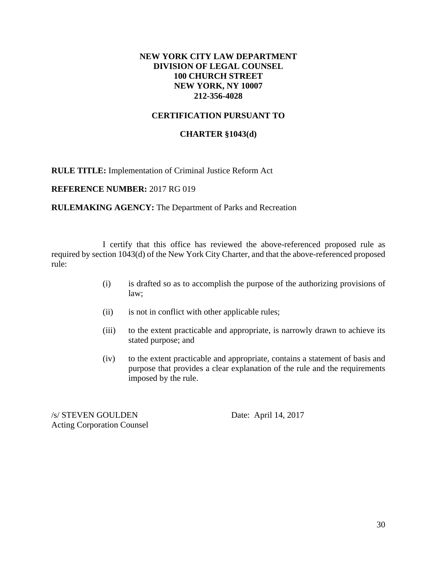### **NEW YORK CITY LAW DEPARTMENT DIVISION OF LEGAL COUNSEL 100 CHURCH STREET NEW YORK, NY 10007 212-356-4028**

### **CERTIFICATION PURSUANT TO**

### **CHARTER §1043(d)**

**RULE TITLE:** Implementation of Criminal Justice Reform Act

**REFERENCE NUMBER:** 2017 RG 019

**RULEMAKING AGENCY:** The Department of Parks and Recreation

 I certify that this office has reviewed the above-referenced proposed rule as required by section 1043(d) of the New York City Charter, and that the above-referenced proposed rule:

- (i) is drafted so as to accomplish the purpose of the authorizing provisions of law;
- (ii) is not in conflict with other applicable rules;
- (iii) to the extent practicable and appropriate, is narrowly drawn to achieve its stated purpose; and
- (iv) to the extent practicable and appropriate, contains a statement of basis and purpose that provides a clear explanation of the rule and the requirements imposed by the rule.

/s/ STEVEN GOULDEN Date: April 14, 2017 Acting Corporation Counsel